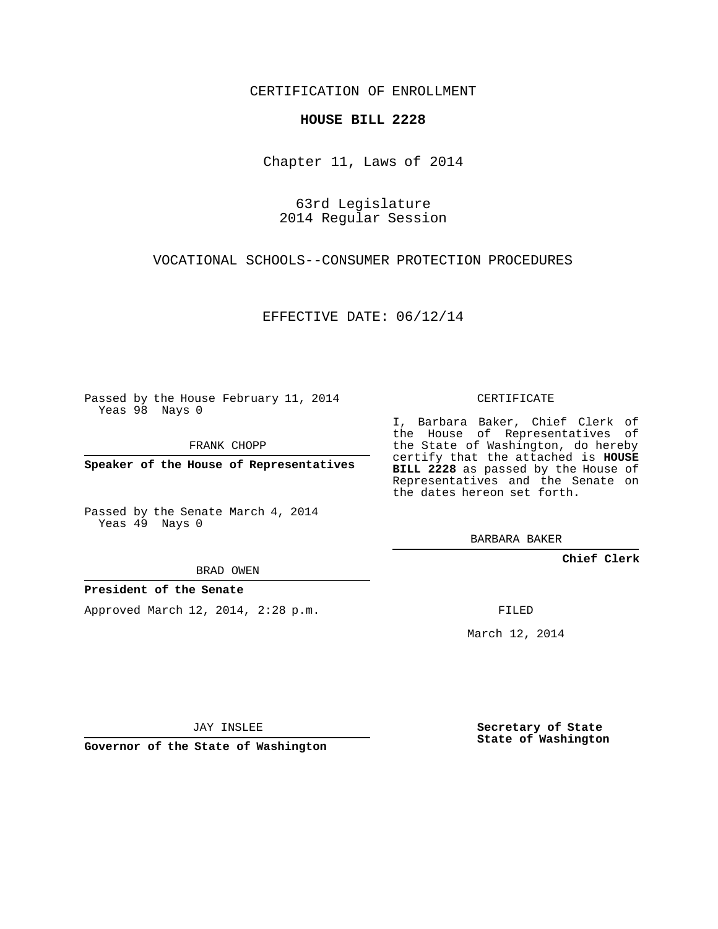CERTIFICATION OF ENROLLMENT

## **HOUSE BILL 2228**

Chapter 11, Laws of 2014

63rd Legislature 2014 Regular Session

VOCATIONAL SCHOOLS--CONSUMER PROTECTION PROCEDURES

EFFECTIVE DATE: 06/12/14

Passed by the House February 11, 2014 Yeas 98 Nays 0

FRANK CHOPP

**Speaker of the House of Representatives**

Passed by the Senate March 4, 2014 Yeas 49 Nays 0

BRAD OWEN

## **President of the Senate**

Approved March 12, 2014, 2:28 p.m.

CERTIFICATE

I, Barbara Baker, Chief Clerk of the House of Representatives of the State of Washington, do hereby certify that the attached is **HOUSE BILL 2228** as passed by the House of Representatives and the Senate on the dates hereon set forth.

BARBARA BAKER

**Chief Clerk**

FILED

March 12, 2014

JAY INSLEE

**Governor of the State of Washington**

**Secretary of State State of Washington**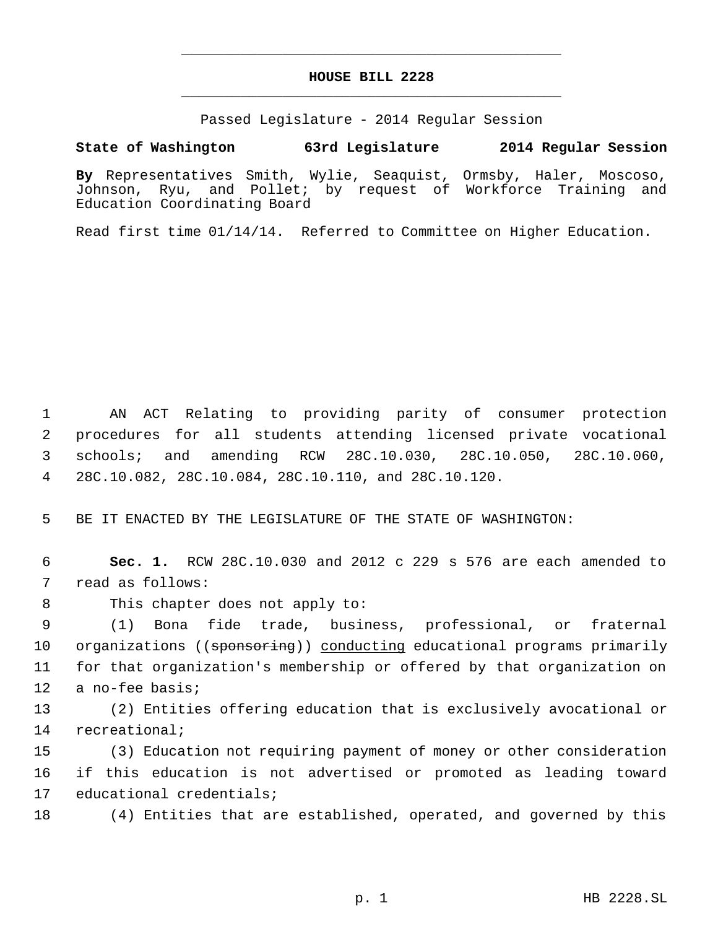## **HOUSE BILL 2228** \_\_\_\_\_\_\_\_\_\_\_\_\_\_\_\_\_\_\_\_\_\_\_\_\_\_\_\_\_\_\_\_\_\_\_\_\_\_\_\_\_\_\_\_\_

\_\_\_\_\_\_\_\_\_\_\_\_\_\_\_\_\_\_\_\_\_\_\_\_\_\_\_\_\_\_\_\_\_\_\_\_\_\_\_\_\_\_\_\_\_

Passed Legislature - 2014 Regular Session

## **State of Washington 63rd Legislature 2014 Regular Session**

**By** Representatives Smith, Wylie, Seaquist, Ormsby, Haler, Moscoso, Johnson, Ryu, and Pollet; by request of Workforce Training and Education Coordinating Board

Read first time 01/14/14. Referred to Committee on Higher Education.

 AN ACT Relating to providing parity of consumer protection procedures for all students attending licensed private vocational schools; and amending RCW 28C.10.030, 28C.10.050, 28C.10.060, 28C.10.082, 28C.10.084, 28C.10.110, and 28C.10.120.

5 BE IT ENACTED BY THE LEGISLATURE OF THE STATE OF WASHINGTON:

 6 **Sec. 1.** RCW 28C.10.030 and 2012 c 229 s 576 are each amended to 7 read as follows:

8 This chapter does not apply to:

 (1) Bona fide trade, business, professional, or fraternal 10 organizations ((sponsoring)) conducting educational programs primarily for that organization's membership or offered by that organization on a no-fee basis;

13 (2) Entities offering education that is exclusively avocational or 14 recreational;

15 (3) Education not requiring payment of money or other consideration 16 if this education is not advertised or promoted as leading toward 17 educational credentials;

18 (4) Entities that are established, operated, and governed by this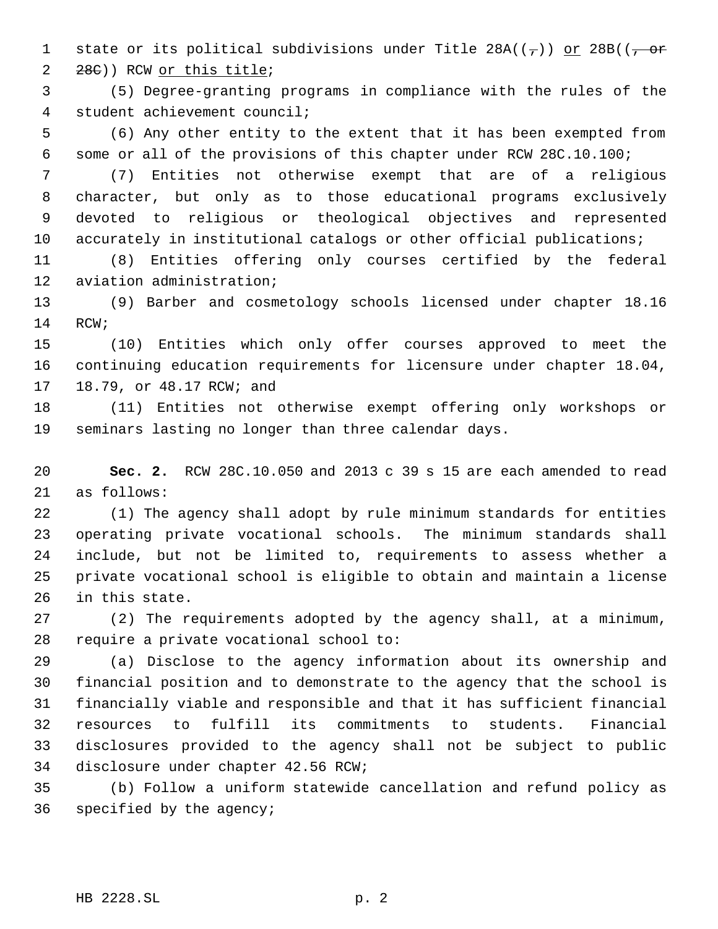1 state or its political subdivisions under Title  $28A(\frac{\pi}{2})$  or  $28B(\frac{\pi}{2}$ 28C)) RCW or this title;

 (5) Degree-granting programs in compliance with the rules of the student achievement council;

 (6) Any other entity to the extent that it has been exempted from some or all of the provisions of this chapter under RCW 28C.10.100;

 (7) Entities not otherwise exempt that are of a religious character, but only as to those educational programs exclusively devoted to religious or theological objectives and represented 10 accurately in institutional catalogs or other official publications;

 (8) Entities offering only courses certified by the federal aviation administration;

 (9) Barber and cosmetology schools licensed under chapter 18.16 RCW;

 (10) Entities which only offer courses approved to meet the continuing education requirements for licensure under chapter 18.04, 18.79, or 48.17 RCW; and

 (11) Entities not otherwise exempt offering only workshops or seminars lasting no longer than three calendar days.

 **Sec. 2.** RCW 28C.10.050 and 2013 c 39 s 15 are each amended to read as follows:

 (1) The agency shall adopt by rule minimum standards for entities operating private vocational schools. The minimum standards shall include, but not be limited to, requirements to assess whether a private vocational school is eligible to obtain and maintain a license in this state.

 (2) The requirements adopted by the agency shall, at a minimum, require a private vocational school to:

 (a) Disclose to the agency information about its ownership and financial position and to demonstrate to the agency that the school is financially viable and responsible and that it has sufficient financial resources to fulfill its commitments to students. Financial disclosures provided to the agency shall not be subject to public disclosure under chapter 42.56 RCW;

 (b) Follow a uniform statewide cancellation and refund policy as specified by the agency;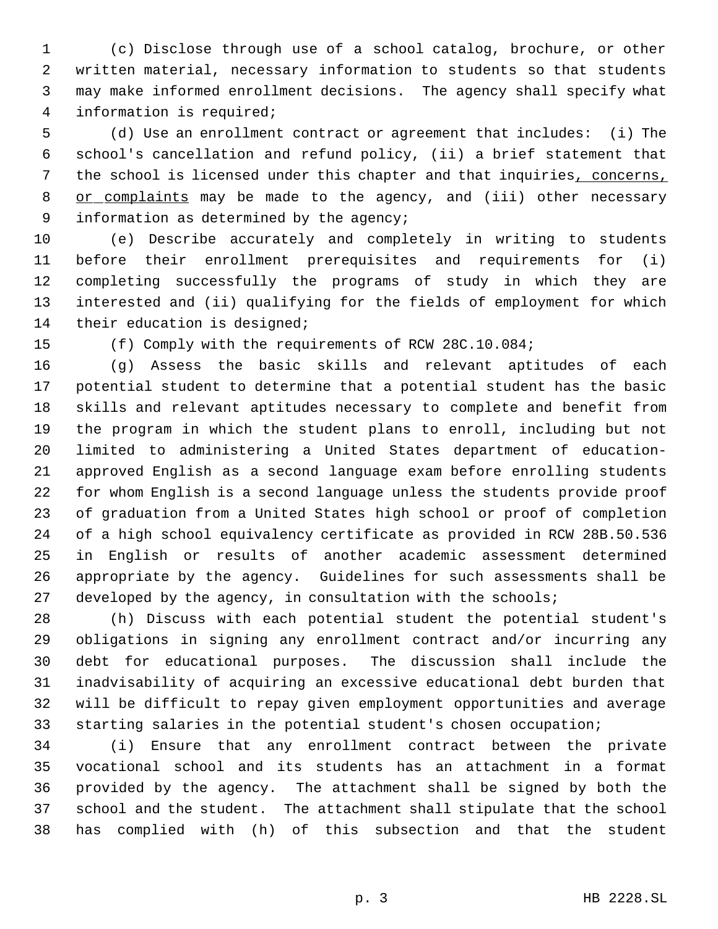(c) Disclose through use of a school catalog, brochure, or other written material, necessary information to students so that students may make informed enrollment decisions. The agency shall specify what information is required;

 (d) Use an enrollment contract or agreement that includes: (i) The school's cancellation and refund policy, (ii) a brief statement that the school is licensed under this chapter and that inquiries, concerns, 8 or complaints may be made to the agency, and (iii) other necessary 9 information as determined by the agency;

 (e) Describe accurately and completely in writing to students before their enrollment prerequisites and requirements for (i) completing successfully the programs of study in which they are interested and (ii) qualifying for the fields of employment for which their education is designed;

(f) Comply with the requirements of RCW 28C.10.084;

 (g) Assess the basic skills and relevant aptitudes of each potential student to determine that a potential student has the basic skills and relevant aptitudes necessary to complete and benefit from the program in which the student plans to enroll, including but not limited to administering a United States department of education- approved English as a second language exam before enrolling students for whom English is a second language unless the students provide proof of graduation from a United States high school or proof of completion of a high school equivalency certificate as provided in RCW 28B.50.536 in English or results of another academic assessment determined appropriate by the agency. Guidelines for such assessments shall be 27 developed by the agency, in consultation with the schools;

 (h) Discuss with each potential student the potential student's obligations in signing any enrollment contract and/or incurring any debt for educational purposes. The discussion shall include the inadvisability of acquiring an excessive educational debt burden that will be difficult to repay given employment opportunities and average starting salaries in the potential student's chosen occupation;

 (i) Ensure that any enrollment contract between the private vocational school and its students has an attachment in a format provided by the agency. The attachment shall be signed by both the school and the student. The attachment shall stipulate that the school has complied with (h) of this subsection and that the student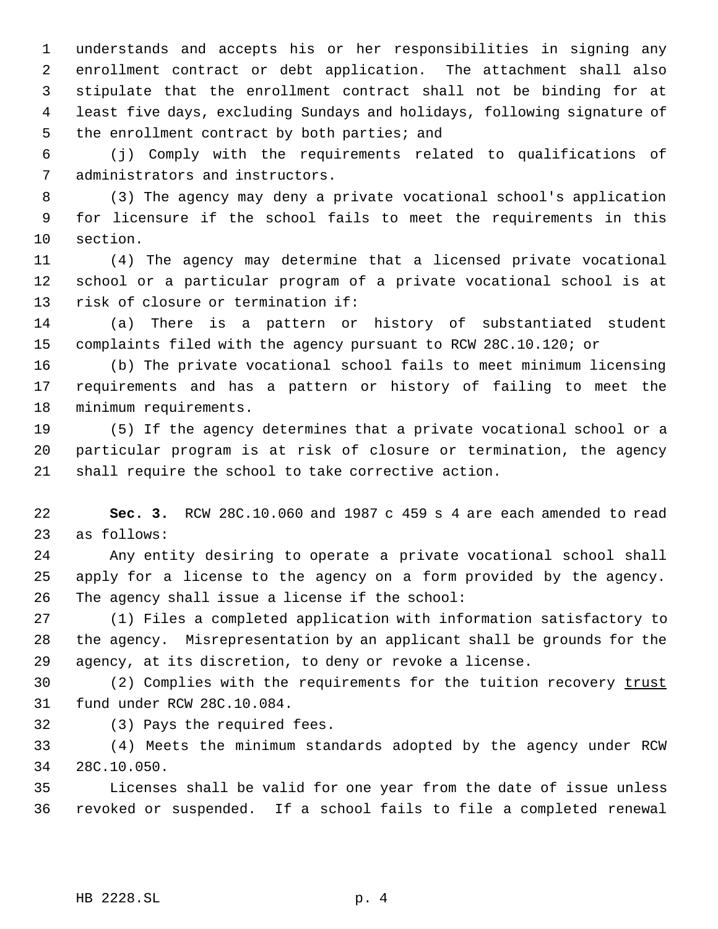understands and accepts his or her responsibilities in signing any enrollment contract or debt application. The attachment shall also stipulate that the enrollment contract shall not be binding for at least five days, excluding Sundays and holidays, following signature of 5 the enrollment contract by both parties; and

 (j) Comply with the requirements related to qualifications of administrators and instructors.

 (3) The agency may deny a private vocational school's application for licensure if the school fails to meet the requirements in this section.

 (4) The agency may determine that a licensed private vocational school or a particular program of a private vocational school is at risk of closure or termination if:

 (a) There is a pattern or history of substantiated student complaints filed with the agency pursuant to RCW 28C.10.120; or

 (b) The private vocational school fails to meet minimum licensing requirements and has a pattern or history of failing to meet the minimum requirements.

 (5) If the agency determines that a private vocational school or a particular program is at risk of closure or termination, the agency shall require the school to take corrective action.

 **Sec. 3.** RCW 28C.10.060 and 1987 c 459 s 4 are each amended to read as follows:

 Any entity desiring to operate a private vocational school shall apply for a license to the agency on a form provided by the agency. The agency shall issue a license if the school:

 (1) Files a completed application with information satisfactory to the agency. Misrepresentation by an applicant shall be grounds for the agency, at its discretion, to deny or revoke a license.

30 (2) Complies with the requirements for the tuition recovery trust fund under RCW 28C.10.084.

(3) Pays the required fees.

 (4) Meets the minimum standards adopted by the agency under RCW 28C.10.050.

 Licenses shall be valid for one year from the date of issue unless revoked or suspended. If a school fails to file a completed renewal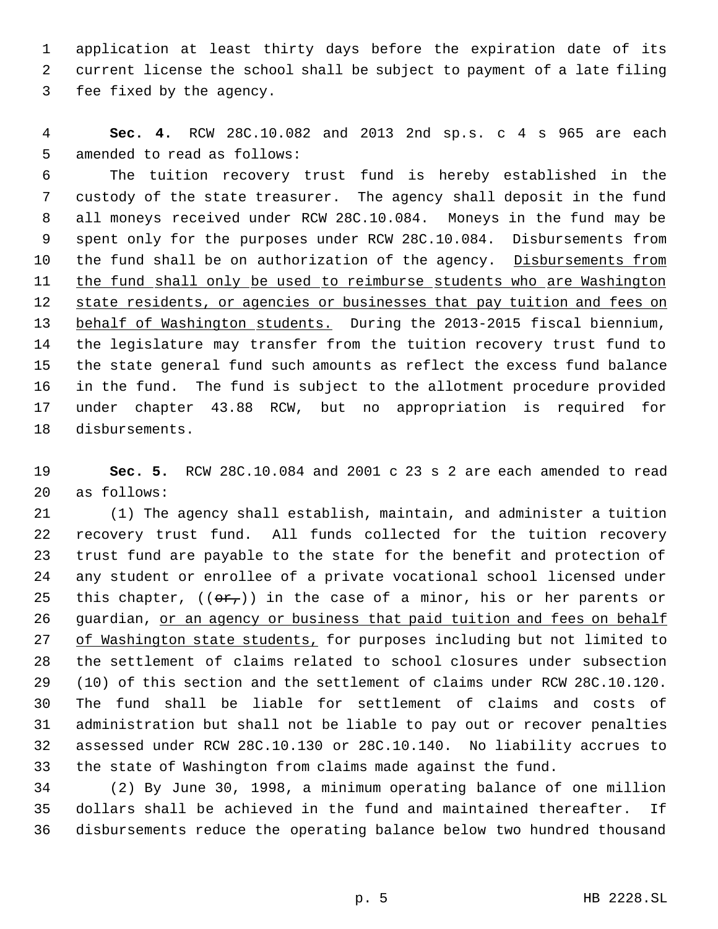application at least thirty days before the expiration date of its current license the school shall be subject to payment of a late filing fee fixed by the agency.

 **Sec. 4.** RCW 28C.10.082 and 2013 2nd sp.s. c 4 s 965 are each amended to read as follows:

 The tuition recovery trust fund is hereby established in the custody of the state treasurer. The agency shall deposit in the fund all moneys received under RCW 28C.10.084. Moneys in the fund may be spent only for the purposes under RCW 28C.10.084. Disbursements from 10 the fund shall be on authorization of the agency. Disbursements from 11 the fund shall only be used to reimburse students who are Washington 12 state residents, or agencies or businesses that pay tuition and fees on behalf of Washington students. During the 2013-2015 fiscal biennium, the legislature may transfer from the tuition recovery trust fund to the state general fund such amounts as reflect the excess fund balance in the fund. The fund is subject to the allotment procedure provided under chapter 43.88 RCW, but no appropriation is required for disbursements.

 **Sec. 5.** RCW 28C.10.084 and 2001 c 23 s 2 are each amended to read as follows:

 (1) The agency shall establish, maintain, and administer a tuition recovery trust fund. All funds collected for the tuition recovery trust fund are payable to the state for the benefit and protection of any student or enrollee of a private vocational school licensed under 25 this chapter,  $((\theta \hat{r}_t))$  in the case of a minor, his or her parents or 26 guardian, or an agency or business that paid tuition and fees on behalf 27 of Washington state students, for purposes including but not limited to the settlement of claims related to school closures under subsection (10) of this section and the settlement of claims under RCW 28C.10.120. The fund shall be liable for settlement of claims and costs of administration but shall not be liable to pay out or recover penalties assessed under RCW 28C.10.130 or 28C.10.140. No liability accrues to the state of Washington from claims made against the fund.

 (2) By June 30, 1998, a minimum operating balance of one million dollars shall be achieved in the fund and maintained thereafter. If disbursements reduce the operating balance below two hundred thousand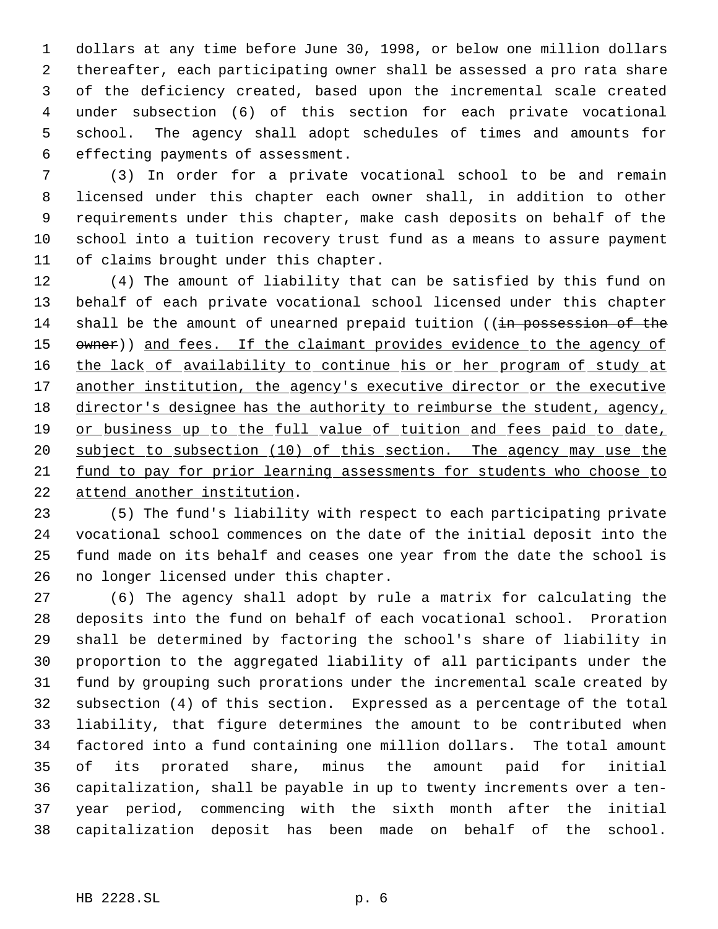dollars at any time before June 30, 1998, or below one million dollars thereafter, each participating owner shall be assessed a pro rata share of the deficiency created, based upon the incremental scale created under subsection (6) of this section for each private vocational school. The agency shall adopt schedules of times and amounts for effecting payments of assessment.

 (3) In order for a private vocational school to be and remain licensed under this chapter each owner shall, in addition to other requirements under this chapter, make cash deposits on behalf of the school into a tuition recovery trust fund as a means to assure payment of claims brought under this chapter.

 (4) The amount of liability that can be satisfied by this fund on behalf of each private vocational school licensed under this chapter 14 shall be the amount of unearned prepaid tuition ((in possession of the 15 owner)) and fees. If the claimant provides evidence to the agency of 16 the lack of availability to continue his or her program of study at 17 another institution, the agency's executive director or the executive director's designee has the authority to reimburse the student, agency, 19 or business up to the full value of tuition and fees paid to date, subject to subsection (10) of this section. The agency may use the fund to pay for prior learning assessments for students who choose to attend another institution.

 (5) The fund's liability with respect to each participating private vocational school commences on the date of the initial deposit into the fund made on its behalf and ceases one year from the date the school is no longer licensed under this chapter.

 (6) The agency shall adopt by rule a matrix for calculating the deposits into the fund on behalf of each vocational school. Proration shall be determined by factoring the school's share of liability in proportion to the aggregated liability of all participants under the fund by grouping such prorations under the incremental scale created by subsection (4) of this section. Expressed as a percentage of the total liability, that figure determines the amount to be contributed when factored into a fund containing one million dollars. The total amount of its prorated share, minus the amount paid for initial capitalization, shall be payable in up to twenty increments over a ten- year period, commencing with the sixth month after the initial capitalization deposit has been made on behalf of the school.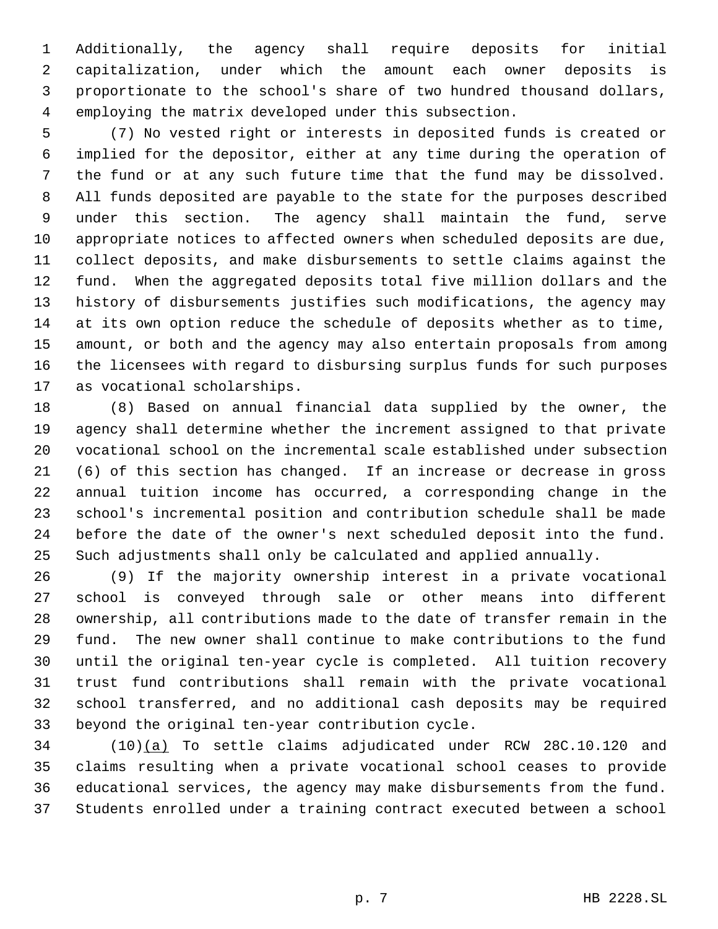Additionally, the agency shall require deposits for initial capitalization, under which the amount each owner deposits is proportionate to the school's share of two hundred thousand dollars, employing the matrix developed under this subsection.

 (7) No vested right or interests in deposited funds is created or implied for the depositor, either at any time during the operation of the fund or at any such future time that the fund may be dissolved. All funds deposited are payable to the state for the purposes described under this section. The agency shall maintain the fund, serve appropriate notices to affected owners when scheduled deposits are due, collect deposits, and make disbursements to settle claims against the fund. When the aggregated deposits total five million dollars and the history of disbursements justifies such modifications, the agency may at its own option reduce the schedule of deposits whether as to time, amount, or both and the agency may also entertain proposals from among the licensees with regard to disbursing surplus funds for such purposes as vocational scholarships.

 (8) Based on annual financial data supplied by the owner, the agency shall determine whether the increment assigned to that private vocational school on the incremental scale established under subsection (6) of this section has changed. If an increase or decrease in gross annual tuition income has occurred, a corresponding change in the school's incremental position and contribution schedule shall be made before the date of the owner's next scheduled deposit into the fund. Such adjustments shall only be calculated and applied annually.

 (9) If the majority ownership interest in a private vocational school is conveyed through sale or other means into different ownership, all contributions made to the date of transfer remain in the fund. The new owner shall continue to make contributions to the fund until the original ten-year cycle is completed. All tuition recovery trust fund contributions shall remain with the private vocational school transferred, and no additional cash deposits may be required beyond the original ten-year contribution cycle.

 (10)(a) To settle claims adjudicated under RCW 28C.10.120 and claims resulting when a private vocational school ceases to provide educational services, the agency may make disbursements from the fund. Students enrolled under a training contract executed between a school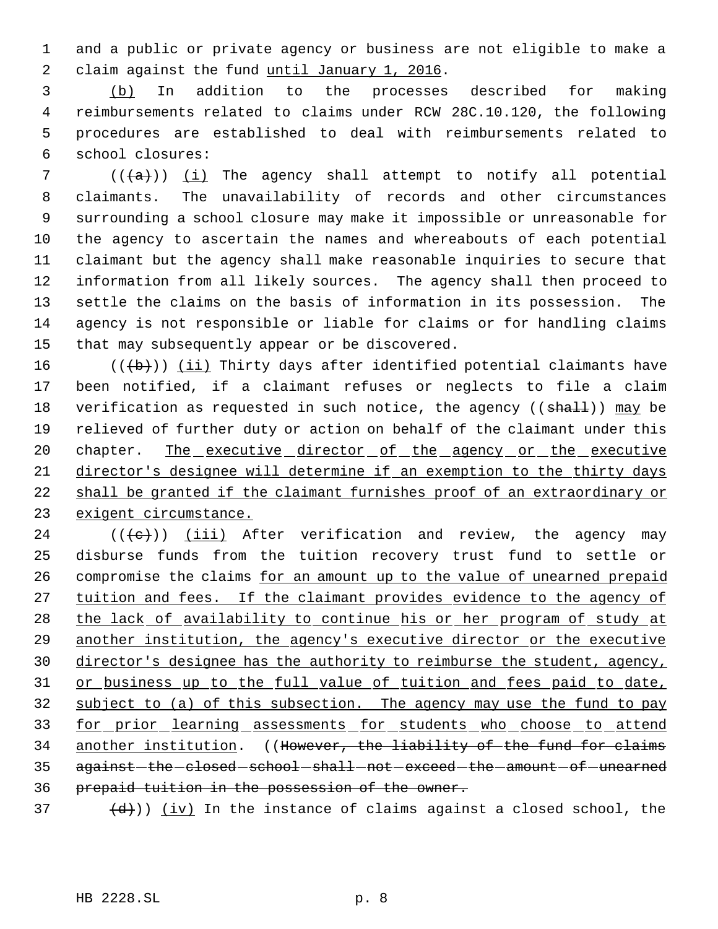and a public or private agency or business are not eligible to make a 2 claim against the fund until January 1, 2016.

 (b) In addition to the processes described for making reimbursements related to claims under RCW 28C.10.120, the following procedures are established to deal with reimbursements related to school closures:

 $((+a))$  (i) The agency shall attempt to notify all potential claimants. The unavailability of records and other circumstances surrounding a school closure may make it impossible or unreasonable for the agency to ascertain the names and whereabouts of each potential claimant but the agency shall make reasonable inquiries to secure that information from all likely sources. The agency shall then proceed to settle the claims on the basis of information in its possession. The agency is not responsible or liable for claims or for handling claims that may subsequently appear or be discovered.

16 ( $(\overline{\mathbf{b}})$ ) (ii) Thirty days after identified potential claimants have been notified, if a claimant refuses or neglects to file a claim 18 verification as requested in such notice, the agency  $((\text{sha11}))$  may be relieved of further duty or action on behalf of the claimant under this 20 chapter. The executive director of the agency or the executive director's designee will determine if an exemption to the thirty days shall be granted if the claimant furnishes proof of an extraordinary or exigent circumstance.

24  $((\{e\})$   $(iii)$  After verification and review, the agency may disburse funds from the tuition recovery trust fund to settle or 26 compromise the claims for an amount up to the value of unearned prepaid 27 tuition and fees. If the claimant provides evidence to the agency of 28 the lack of availability to continue his or her program of study at another institution, the agency's executive director or the executive director's designee has the authority to reimburse the student, agency, 31 or business up to the full value of tuition and fees paid to date, subject to (a) of this subsection. The agency may use the fund to pay 33 for prior learning assessments for students who choose to attend another institution. ((However, the liability of the fund for claims 35 against-the-closed-school-shall-not-exceed-the-amount-of-unearned prepaid tuition in the possession of the owner.

 $\left(\frac{d}{d}\right)$ ) (iv) In the instance of claims against a closed school, the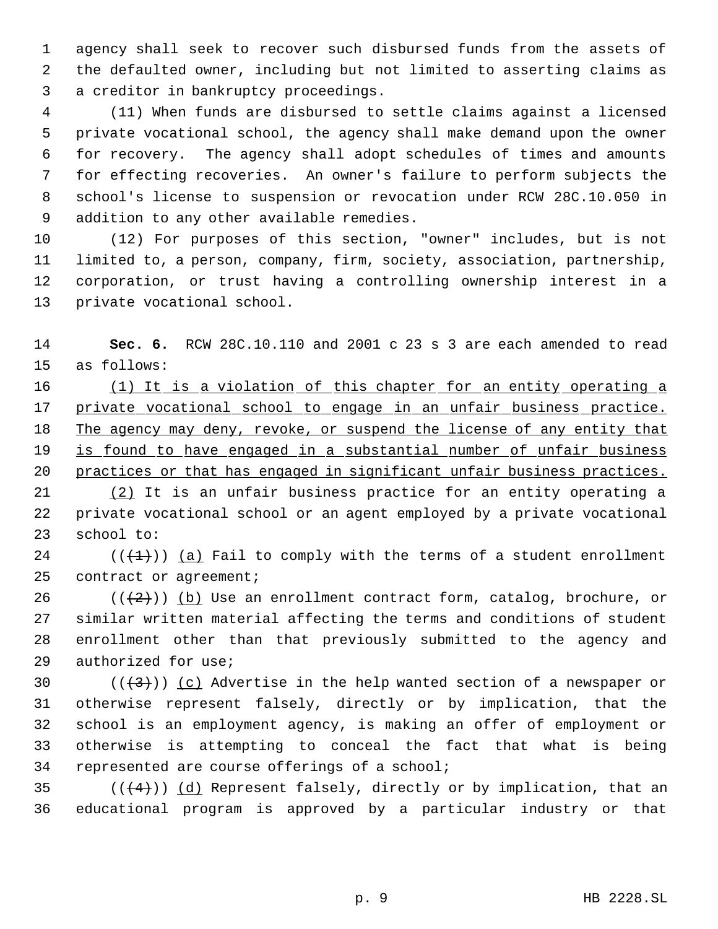agency shall seek to recover such disbursed funds from the assets of the defaulted owner, including but not limited to asserting claims as a creditor in bankruptcy proceedings.

 (11) When funds are disbursed to settle claims against a licensed private vocational school, the agency shall make demand upon the owner for recovery. The agency shall adopt schedules of times and amounts for effecting recoveries. An owner's failure to perform subjects the school's license to suspension or revocation under RCW 28C.10.050 in addition to any other available remedies.

 (12) For purposes of this section, "owner" includes, but is not limited to, a person, company, firm, society, association, partnership, corporation, or trust having a controlling ownership interest in a private vocational school.

 **Sec. 6.** RCW 28C.10.110 and 2001 c 23 s 3 are each amended to read as follows:

16 (1) It is a violation of this chapter for an entity operating a 17 private vocational school to engage in an unfair business practice. 18 The agency may deny, revoke, or suspend the license of any entity that 19 is found to have engaged in a substantial number of unfair business practices or that has engaged in significant unfair business practices.

 (2) It is an unfair business practice for an entity operating a private vocational school or an agent employed by a private vocational school to:

24 ( $(\overline{+1})$ ) (a) Fail to comply with the terms of a student enrollment 25 contract or agreement;

26 ( $(\frac{2}{2})$ ) (b) Use an enrollment contract form, catalog, brochure, or similar written material affecting the terms and conditions of student enrollment other than that previously submitted to the agency and authorized for use;

 $((+3))$  (c) Advertise in the help wanted section of a newspaper or otherwise represent falsely, directly or by implication, that the school is an employment agency, is making an offer of employment or otherwise is attempting to conceal the fact that what is being represented are course offerings of a school;

35 ( $(\overline{(4)})$ ) (d) Represent falsely, directly or by implication, that an educational program is approved by a particular industry or that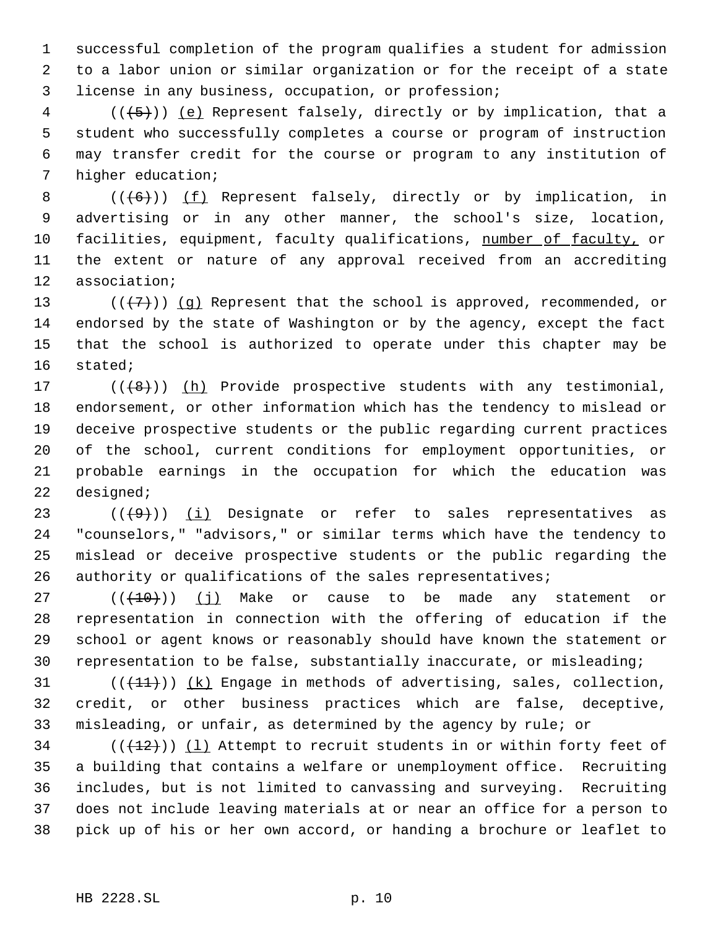successful completion of the program qualifies a student for admission to a labor union or similar organization or for the receipt of a state license in any business, occupation, or profession;

 (( $\left(\frac{5}{5}\right)$ ) <u>(e)</u> Represent falsely, directly or by implication, that a student who successfully completes a course or program of instruction may transfer credit for the course or program to any institution of higher education;

8 (((6))) (f) Represent falsely, directly or by implication, in advertising or in any other manner, the school's size, location, 10 facilities, equipment, faculty qualifications, number of faculty, or the extent or nature of any approval received from an accrediting association;

 $((+7)^{n})$  (q) Represent that the school is approved, recommended, or endorsed by the state of Washington or by the agency, except the fact that the school is authorized to operate under this chapter may be stated;

 $((\lbrace 8 \rbrace))$  (h) Provide prospective students with any testimonial, endorsement, or other information which has the tendency to mislead or deceive prospective students or the public regarding current practices of the school, current conditions for employment opportunities, or probable earnings in the occupation for which the education was designed;

 $((+9))$  (i) Designate or refer to sales representatives as "counselors," "advisors," or similar terms which have the tendency to mislead or deceive prospective students or the public regarding the 26 authority or qualifications of the sales representatives;

 $((+10))$  (i) Make or cause to be made any statement or representation in connection with the offering of education if the school or agent knows or reasonably should have known the statement or representation to be false, substantially inaccurate, or misleading;

31  $((+11))$   $(k)$  Engage in methods of advertising, sales, collection, credit, or other business practices which are false, deceptive, misleading, or unfair, as determined by the agency by rule; or

 $(1, 12)$  ( $(1, 12)$ ) (1) Attempt to recruit students in or within forty feet of a building that contains a welfare or unemployment office. Recruiting includes, but is not limited to canvassing and surveying. Recruiting does not include leaving materials at or near an office for a person to pick up of his or her own accord, or handing a brochure or leaflet to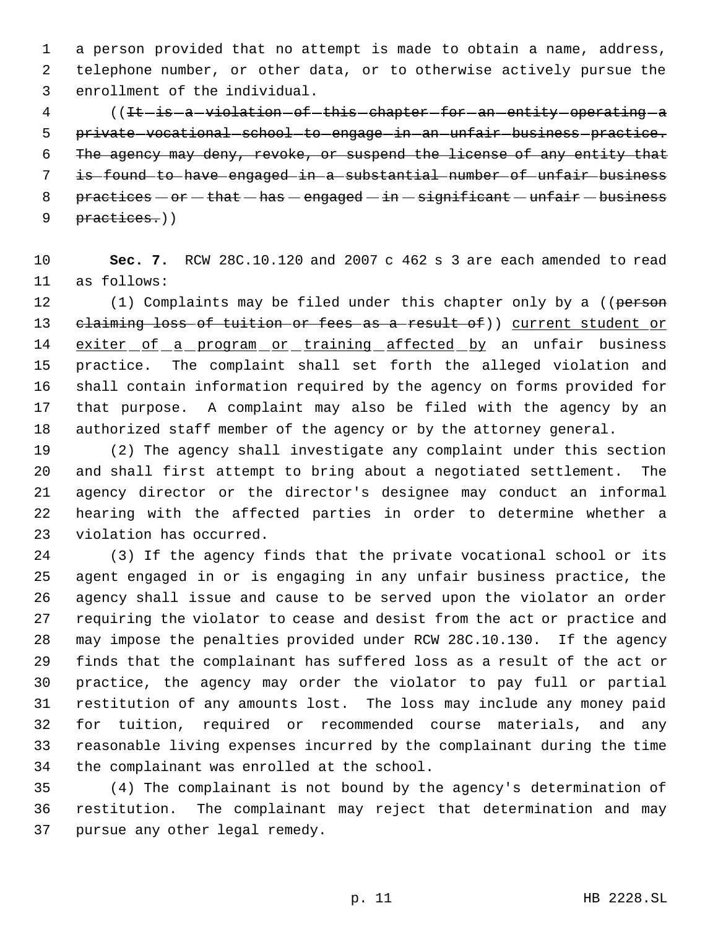a person provided that no attempt is made to obtain a name, address, telephone number, or other data, or to otherwise actively pursue the enrollment of the individual.

4 ((It-is-a-violation-of-this-chapter-for-an-entity-operating-a 5 private vocational school to engage in an unfair business practice. The agency may deny, revoke, or suspend the license of any entity that is found to have engaged in a substantial number of unfair business 8 practices  $-$  or  $-$  that  $-$  has  $-$  engaged  $-$  in  $-$  significant  $-$  unfair  $-$  business 9 practices.))

 **Sec. 7.** RCW 28C.10.120 and 2007 c 462 s 3 are each amended to read as follows:

12 (1) Complaints may be filed under this chapter only by a ((person 13 claiming loss of tuition or fees as a result of)) current student or 14 exiter of a program or training affected by an unfair business practice. The complaint shall set forth the alleged violation and shall contain information required by the agency on forms provided for that purpose. A complaint may also be filed with the agency by an authorized staff member of the agency or by the attorney general.

 (2) The agency shall investigate any complaint under this section and shall first attempt to bring about a negotiated settlement. The agency director or the director's designee may conduct an informal hearing with the affected parties in order to determine whether a violation has occurred.

 (3) If the agency finds that the private vocational school or its agent engaged in or is engaging in any unfair business practice, the agency shall issue and cause to be served upon the violator an order requiring the violator to cease and desist from the act or practice and may impose the penalties provided under RCW 28C.10.130. If the agency finds that the complainant has suffered loss as a result of the act or practice, the agency may order the violator to pay full or partial restitution of any amounts lost. The loss may include any money paid for tuition, required or recommended course materials, and any reasonable living expenses incurred by the complainant during the time the complainant was enrolled at the school.

 (4) The complainant is not bound by the agency's determination of restitution. The complainant may reject that determination and may pursue any other legal remedy.